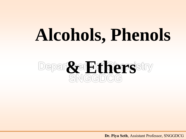# **Alcohols, Phenols**

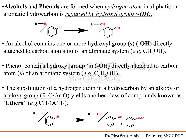•**Alcohols** and **Phenols** are formed when *hydrogen atom* in aliphatic or aromatic hydrocarbon is *replaced by hydroxyl group (-OH).*



- An alcohol contains one or more hydroxyl group (s) (**-OH**) directly attached to carbon atoms (s) of an aliphatic system  $(e.g. CH<sub>3</sub>OH)$ .
- Phenol contains hydroxyl group (s) (-OH) directly attached to carbon atom (s) of an aromatic system (*e.g.* C6H5OH).
- The substitution of a hydrogen atom in a hydrocarbon by an alkoxy or aryloxy group (R-O/Ar-O) yields another class of compounds known as 'Ethers'  $(e.g. CH_3OCH_3)$ .



**Dr. Piya Seth**, Assistant Professor, SNGGDCG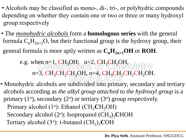- Alcohols may be classified as mono-, di-, tri-, or polyhydric compounds depending on whether they contain one or two or three or many hydroxyl group respectively
- The *monohydric alcohols* form a **homologous series** with the general formula  $C_nH_{2n+2}O$ , but their functional group is the hydroxy group, their general formula is more aptly written as  $C_nH_{2n+1}OH$  or **ROH**.

# e.g. when  $n=1$ , CH<sub>3</sub>OH;  $n=2$ , CH<sub>3</sub>CH<sub>2</sub>OH,  $n=3$ ,  $CH_3CH_2CH_2OH$ ,  $n=4$ ,  $CH_3CH_2CH_2CH_2OH$ .

• Monohydric alcohols are subdivided into primary, secondary and tertiary alcohols according as *the alkyl group attached to the hydroxyl group* is a primary  $(1^{\circ})$ , secondary  $(2^{\circ})$  or tertiary  $(3^{\circ})$  group respectively. Primary alcohol (1<sup>o</sup>): Ethanol (CH<sub>3</sub>CH<sub>2</sub>OH) Secondary alcohol (2°): Isopropanol (CH<sub>3</sub>)<sub>2</sub>CHOH Tertiary alcohol (3°): t-butanol (CH<sub>3</sub>)<sub>3</sub>COH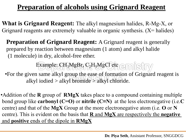# **Preparation of alcohols using Grignard Reagent**

**What is Grignard Reagent:** The alkyl magnesium halides, R-Mg-X, or Grignard reagents are extremely valuable in organic synthesis.  $(X = \text{halides})$ 

**Preparation of Grignard Reagent:** A Grignard reagent is generally prepared by reaction between magnesium (1 atom) and alkyl halide (1 molecule) in dry, alcohol-free ether.

Example: CH3MgBr, C2H5MgCl etc emisiny

•For the given same alkyl group the ease of formation of Grignard reagent is alkyl iodied  $>$  alkyl bromide  $>$  alkyl chloride.

•Addition of the **R** group of **RMgX** takes place to a compound containing multiple bond group like **carbonyl (C=O)** or **nitrile (C≡N)** at the less electronegative (i.e.**C** centre) and that of the **MgX** Group at the more electronegative atom (i.e. **O** or **N** centre). This is evident on the basis that **R** and **MgX** are respectively the **negative** and **positive** ends of the dipole in **RMgX**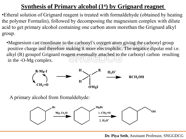## **<u>Synthesis of Primary alcohol (1<sup>o</sup>) by Grignard reagnet</u>**

•Etheral solution of Grignard reagent is treated with formaldehyde (obtained by heating the polymer Formalin), followed by decomposing the magnesium complex with dilute acid to get primary alcohol containing one carbon atom morethan the Grignard alkyl group.

•Magnesium can coordinate to the carbonyl's oxygen atom giving the carbonyl group positive charge and therefore making it more electrophilic. The negatice dipolar end i.e. alkyl (R) groupof Grignard reagent eventually attached to the carbonyl carbon resulting in the -O-Mg complex.



A primary alcohol from fromaldehyde:

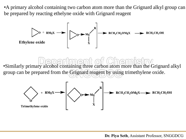•A primary alcohol containing two carbon atom more than the Grignard alkyl group can be prepared by reacting ethelyne oxide with Grignard reagent



•Similarly primary alcohol containing three carbon atom more than the Grignard alkyl group can be prepared from the Grignard reagent by using trimethylene oxide.

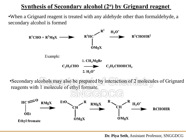## **<u>Synthesis of Secondary alcohol (2<sup>o</sup>) by Grignard reagnet**</u>

•When a Grignard reagent is treated with any aldehyde other than formaldehyde, a secondary alcohol is formed

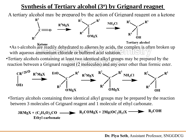## **<u>Synthesis of Tertiary alcohol (3<sup>o</sup>) by Grignard reagnet**</u>

A tertiary alcohol may be prepared by the action of Grignard reagent on a ketone



**Tertiary alcohol** •As t-alcohols are readily dehydrated to alkenes by acids, the complex is often broken up with aqueous ammonium chloride or buffered acid solution.

•Tertiary alcohols containing at least two identical alkyl groups may be prepared by the reaction between a Grignard reagent (2 molecules) and any ester other than formic ester.



•Tertiary alcohols containing three identical alkyl groups may be prepared by the reaction between 3 molecules of Grignard reagent and 1 molecule of ethyl carbonate.

 $R_3COH$  $R_3COMgX + 2Mg(OC_2H_5)X =$  $3RMgX + (C_2H_5O)_{2}CO$  — **Ethyl carbonate**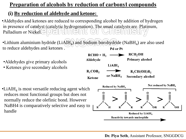#### **Preparation of alcohols by reduction of carbonyl compounds**

#### **(i) By reduction of aldehyde and ketone:**

- •Aldehydes and ketones are reduced to corresponding alcohol by addition of hydrogen in presence of catalyst (catalytic hydrogenation). The usual catalysts are Platinum, Palladium or Nickel.  $\exists$  0  $\leq$  1 **TANNAN**
- •Lithium aluminium hydride (LiAl $H_4$ ) and Sodium borohydride (NaB $H_4$ ) are also used to reduce aldehydes and ketones . Pd or Pt

 $RCHO + H<sub>2</sub>$ 

 $LiAlH<sub>4</sub>$ 

**Aldehyde** 

- •Aldehydes give primary alcohols
- Ketones give secondary alcohols





**RCH<sub>2</sub>OH** 

**Primary alcohol**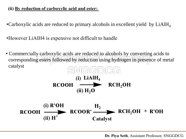#### **(ii) By reduction of carboxylic acid and ester:**

- •Carboxylic acids are reduced to primary alcohols in excellent yield by  $LiAlH<sub>4</sub>$
- •However LiAlH4 is expensive not difficult to handle
- Commercially carboxylic acids are reduced to alcohols by converting acids to corresponding esters followed by reduction using hydrogen in presence of metal catalyst

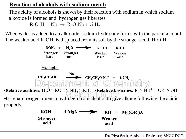#### **Reaction of alcohols with sodium metal:**

acid

The acidity of alcohols is shown by their reaction with sodium in which sodium alkoxide is formed and hydrogen gas liberates  $R-O-H + Na \rightarrow R-O-Na + \frac{1}{2}H_2$ 

When water is added to an alkoxide, sodium hydroxide forms with the parent alcohol. The weaker acid R-OH, is displaced from its salt by the stronger acod, H-O-H.



acid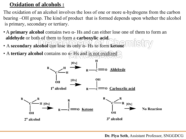#### **Oxidation of alcohols :**

The oxidation of an alcohol involves the loss of one or more  $\alpha$ -hydrogens from the carbon bearing –OH group. The kind of product that is formed depends upon whether the alcohol is primary, secondary or tertiary.

- A **primary alcohol** contains two α- Hs and can either lose one of them to form an **aldehyde** or both of them to form a **carboxylic acid**.
- A **secondary alcohol** can lose its only α- Hs to form **ketone**
- A **tertiary alcohol** contains no α- Hs and is not oxidized